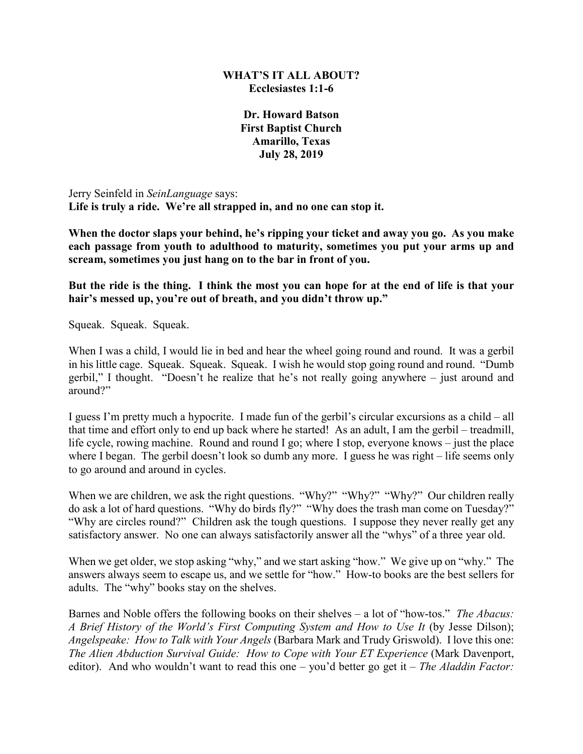## **WHAT'S IT ALL ABOUT? Ecclesiastes 1:1-6**

**Dr. Howard Batson First Baptist Church Amarillo, Texas July 28, 2019**

Jerry Seinfeld in *SeinLanguage* says: **Life is truly a ride. We're all strapped in, and no one can stop it.** 

**When the doctor slaps your behind, he's ripping your ticket and away you go. As you make each passage from youth to adulthood to maturity, sometimes you put your arms up and scream, sometimes you just hang on to the bar in front of you.** 

**But the ride is the thing. I think the most you can hope for at the end of life is that your hair's messed up, you're out of breath, and you didn't throw up."**

Squeak. Squeak. Squeak.

When I was a child, I would lie in bed and hear the wheel going round and round. It was a gerbil in his little cage. Squeak. Squeak. Squeak. I wish he would stop going round and round. "Dumb gerbil," I thought. "Doesn't he realize that he's not really going anywhere – just around and around?"

I guess I'm pretty much a hypocrite. I made fun of the gerbil's circular excursions as a child – all that time and effort only to end up back where he started! As an adult, I am the gerbil – treadmill, life cycle, rowing machine. Round and round I go; where I stop, everyone knows – just the place where I began. The gerbil doesn't look so dumb any more. I guess he was right – life seems only to go around and around in cycles.

When we are children, we ask the right questions. "Why?" "Why?" "Why?" Our children really do ask a lot of hard questions. "Why do birds fly?" "Why does the trash man come on Tuesday?" "Why are circles round?" Children ask the tough questions. I suppose they never really get any satisfactory answer. No one can always satisfactorily answer all the "whys" of a three year old.

When we get older, we stop asking "why," and we start asking "how." We give up on "why." The answers always seem to escape us, and we settle for "how." How-to books are the best sellers for adults. The "why" books stay on the shelves.

Barnes and Noble offers the following books on their shelves – a lot of "how-tos." *The Abacus: A Brief History of the World's First Computing System and How to Use It* (by Jesse Dilson); *Angelspeake: How to Talk with Your Angels* (Barbara Mark and Trudy Griswold). I love this one: *The Alien Abduction Survival Guide: How to Cope with Your ET Experience* (Mark Davenport, editor). And who wouldn't want to read this one – you'd better go get it – *The Aladdin Factor:*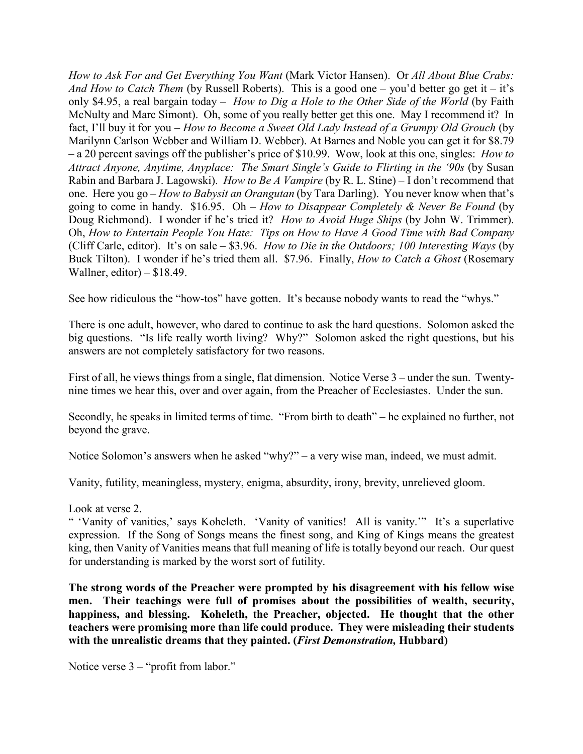*How to Ask For and Get Everything You Want* (Mark Victor Hansen). Or *All About Blue Crabs: And How to Catch Them* (by Russell Roberts). This is a good one – you'd better go get it – it's only \$4.95, a real bargain today – *How to Dig a Hole to the Other Side of the World* (by Faith McNulty and Marc Simont). Oh, some of you really better get this one. May I recommend it? In fact, I'll buy it for you – *How to Become a Sweet Old Lady Instead of a Grumpy Old Grouch* (by Marilynn Carlson Webber and William D. Webber). At Barnes and Noble you can get it for \$8.79 – a 20 percent savings off the publisher's price of \$10.99. Wow, look at this one, singles: *How to Attract Anyone, Anytime, Anyplace: The Smart Single's Guide to Flirting in the '90s (by Susan* Rabin and Barbara J. Lagowski). *How to Be A Vampire* (by R. L. Stine) – I don't recommend that one. Here you go – *How to Babysit an Orangutan* (by Tara Darling). You never know when that's going to come in handy. \$16.95. Oh – *How to Disappear Completely & Never Be Found* (by Doug Richmond). I wonder if he's tried it? *How to Avoid Huge Ships* (by John W. Trimmer). Oh, *How to Entertain People You Hate: Tips on How to Have A Good Time with Bad Company*  (Cliff Carle, editor). It's on sale – \$3.96. *How to Die in the Outdoors; 100 Interesting Ways* (by Buck Tilton). I wonder if he's tried them all. \$7.96. Finally, *How to Catch a Ghost* (Rosemary Wallner, editor)  $-$  \$18.49.

See how ridiculous the "how-tos" have gotten. It's because nobody wants to read the "whys."

There is one adult, however, who dared to continue to ask the hard questions. Solomon asked the big questions. "Is life really worth living? Why?" Solomon asked the right questions, but his answers are not completely satisfactory for two reasons.

First of all, he views things from a single, flat dimension. Notice Verse 3 – under the sun. Twentynine times we hear this, over and over again, from the Preacher of Ecclesiastes. Under the sun.

Secondly, he speaks in limited terms of time. "From birth to death" – he explained no further, not beyond the grave.

Notice Solomon's answers when he asked "why?" – a very wise man, indeed, we must admit.

Vanity, futility, meaningless, mystery, enigma, absurdity, irony, brevity, unrelieved gloom.

## Look at verse 2.

" 'Vanity of vanities,' says Koheleth. 'Vanity of vanities! All is vanity.'" It's a superlative expression. If the Song of Songs means the finest song, and King of Kings means the greatest king, then Vanity of Vanities means that full meaning of life is totally beyond our reach. Our quest for understanding is marked by the worst sort of futility.

**The strong words of the Preacher were prompted by his disagreement with his fellow wise men. Their teachings were full of promises about the possibilities of wealth, security, happiness, and blessing. Koheleth, the Preacher, objected. He thought that the other teachers were promising more than life could produce. They were misleading their students with the unrealistic dreams that they painted. (***First Demonstration,* **Hubbard)**

Notice verse  $3 -$ "profit from labor."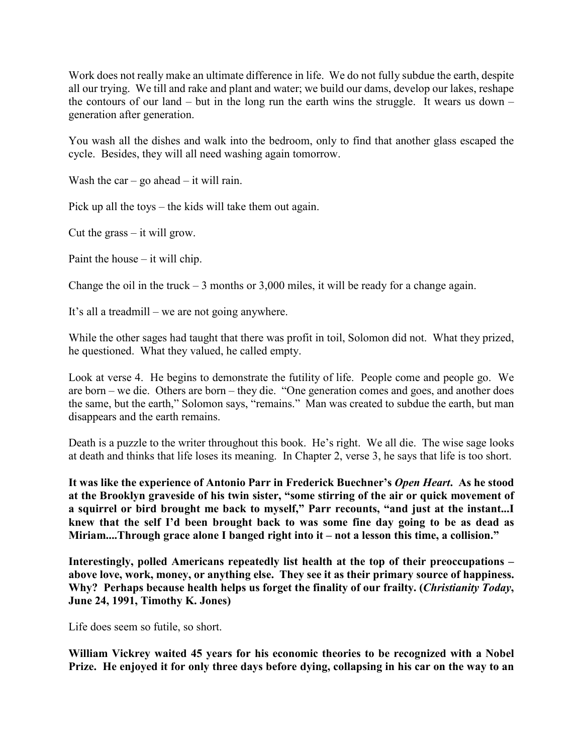Work does not really make an ultimate difference in life. We do not fully subdue the earth, despite all our trying. We till and rake and plant and water; we build our dams, develop our lakes, reshape the contours of our land – but in the long run the earth wins the struggle. It wears us down – generation after generation.

You wash all the dishes and walk into the bedroom, only to find that another glass escaped the cycle. Besides, they will all need washing again tomorrow.

Wash the car – go ahead – it will rain.

Pick up all the toys – the kids will take them out again.

Cut the grass – it will grow.

Paint the house – it will chip.

Change the oil in the truck  $-3$  months or 3,000 miles, it will be ready for a change again.

It's all a treadmill – we are not going anywhere.

While the other sages had taught that there was profit in toil, Solomon did not. What they prized, he questioned. What they valued, he called empty.

Look at verse 4. He begins to demonstrate the futility of life. People come and people go. We are born – we die. Others are born – they die. "One generation comes and goes, and another does the same, but the earth," Solomon says, "remains." Man was created to subdue the earth, but man disappears and the earth remains.

Death is a puzzle to the writer throughout this book. He's right. We all die. The wise sage looks at death and thinks that life loses its meaning. In Chapter 2, verse 3, he says that life is too short.

**It was like the experience of Antonio Parr in Frederick Buechner's** *Open Heart***. As he stood at the Brooklyn graveside of his twin sister, "some stirring of the air or quick movement of a squirrel or bird brought me back to myself," Parr recounts, "and just at the instant...I knew that the self I'd been brought back to was some fine day going to be as dead as Miriam....Through grace alone I banged right into it – not a lesson this time, a collision."**

**Interestingly, polled Americans repeatedly list health at the top of their preoccupations – above love, work, money, or anything else. They see it as their primary source of happiness. Why? Perhaps because health helps us forget the finality of our frailty. (***Christianity Today***, June 24, 1991, Timothy K. Jones)**

Life does seem so futile, so short.

**William Vickrey waited 45 years for his economic theories to be recognized with a Nobel Prize. He enjoyed it for only three days before dying, collapsing in his car on the way to an**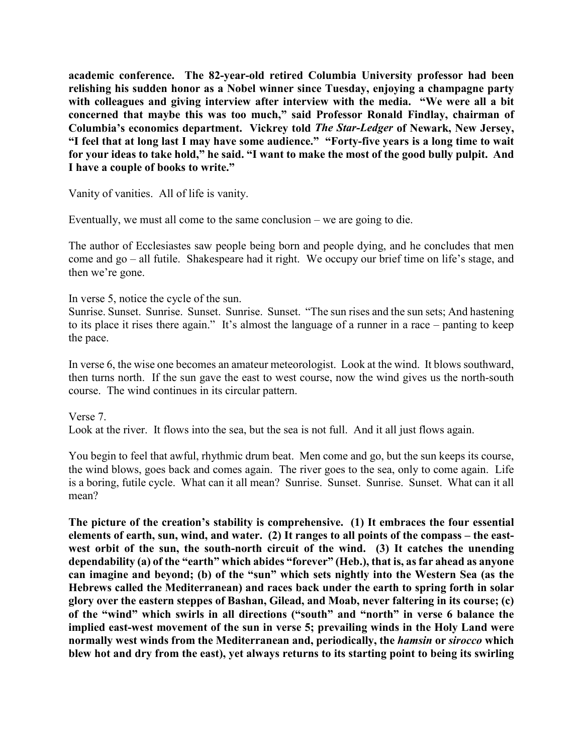**academic conference. The 82-year-old retired Columbia University professor had been relishing his sudden honor as a Nobel winner since Tuesday, enjoying a champagne party with colleagues and giving interview after interview with the media. "We were all a bit concerned that maybe this was too much," said Professor Ronald Findlay, chairman of Columbia's economics department. Vickrey told** *The Star-Ledger* **of Newark, New Jersey, "I feel that at long last I may have some audience." "Forty-five years is a long time to wait for your ideas to take hold," he said. "I want to make the most of the good bully pulpit. And I have a couple of books to write."**

Vanity of vanities. All of life is vanity.

Eventually, we must all come to the same conclusion – we are going to die.

The author of Ecclesiastes saw people being born and people dying, and he concludes that men come and go – all futile. Shakespeare had it right. We occupy our brief time on life's stage, and then we're gone.

In verse 5, notice the cycle of the sun.

Sunrise. Sunset. Sunrise. Sunset. Sunrise. Sunset. "The sun rises and the sun sets; And hastening to its place it rises there again." It's almost the language of a runner in a race – panting to keep the pace.

In verse 6, the wise one becomes an amateur meteorologist. Look at the wind. It blows southward, then turns north. If the sun gave the east to west course, now the wind gives us the north-south course. The wind continues in its circular pattern.

Verse 7. Look at the river. It flows into the sea, but the sea is not full. And it all just flows again.

You begin to feel that awful, rhythmic drum beat. Men come and go, but the sun keeps its course, the wind blows, goes back and comes again. The river goes to the sea, only to come again. Life is a boring, futile cycle. What can it all mean? Sunrise. Sunset. Sunrise. Sunset. What can it all mean?

**The picture of the creation's stability is comprehensive. (1) It embraces the four essential elements of earth, sun, wind, and water. (2) It ranges to all points of the compass – the eastwest orbit of the sun, the south-north circuit of the wind. (3) It catches the unending dependability (a) of the "earth" which abides "forever" (Heb.), that is, as far ahead as anyone can imagine and beyond; (b) of the "sun" which sets nightly into the Western Sea (as the Hebrews called the Mediterranean) and races back under the earth to spring forth in solar glory over the eastern steppes of Bashan, Gilead, and Moab, never faltering in its course; (c) of the "wind" which swirls in all directions ("south" and "north" in verse 6 balance the implied east-west movement of the sun in verse 5; prevailing winds in the Holy Land were normally west winds from the Mediterranean and, periodically, the** *hamsin* **or** *sirocco* **which blew hot and dry from the east), yet always returns to its starting point to being its swirling**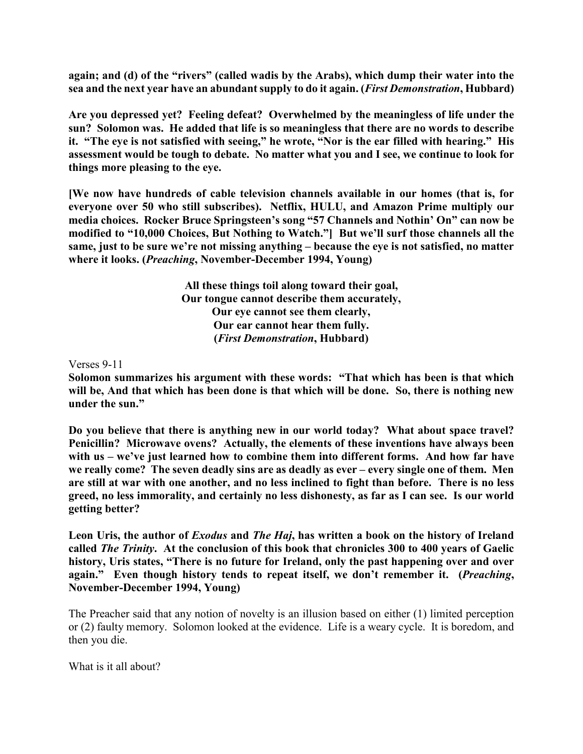**again; and (d) of the "rivers" (called wadis by the Arabs), which dump their water into the sea and the next year have an abundant supply to do it again. (***First Demonstration***, Hubbard)**

**Are you depressed yet? Feeling defeat? Overwhelmed by the meaningless of life under the sun? Solomon was. He added that life is so meaningless that there are no words to describe it. "The eye is not satisfied with seeing," he wrote, "Nor is the ear filled with hearing." His assessment would be tough to debate. No matter what you and I see, we continue to look for things more pleasing to the eye.**

**[We now have hundreds of cable television channels available in our homes (that is, for everyone over 50 who still subscribes). Netflix, HULU, and Amazon Prime multiply our media choices. Rocker Bruce Springsteen's song "57 Channels and Nothin' On" can now be modified to "10,000 Choices, But Nothing to Watch."] But we'll surf those channels all the same, just to be sure we're not missing anything – because the eye is not satisfied, no matter where it looks. (***Preaching***, November-December 1994, Young)**

> **All these things toil along toward their goal, Our tongue cannot describe them accurately, Our eye cannot see them clearly, Our ear cannot hear them fully. (***First Demonstration***, Hubbard)**

Verses 9-11

**Solomon summarizes his argument with these words: "That which has been is that which will be, And that which has been done is that which will be done. So, there is nothing new under the sun."**

**Do you believe that there is anything new in our world today? What about space travel? Penicillin? Microwave ovens? Actually, the elements of these inventions have always been with us – we've just learned how to combine them into different forms. And how far have we really come? The seven deadly sins are as deadly as ever – every single one of them. Men are still at war with one another, and no less inclined to fight than before. There is no less greed, no less immorality, and certainly no less dishonesty, as far as I can see. Is our world getting better?**

**Leon Uris, the author of** *Exodus* **and** *The Haj***, has written a book on the history of Ireland called** *The Trinity***. At the conclusion of this book that chronicles 300 to 400 years of Gaelic history, Uris states, "There is no future for Ireland, only the past happening over and over again." Even though history tends to repeat itself, we don't remember it. (***Preaching***, November-December 1994, Young)**

The Preacher said that any notion of novelty is an illusion based on either (1) limited perception or (2) faulty memory. Solomon looked at the evidence. Life is a weary cycle. It is boredom, and then you die.

What is it all about?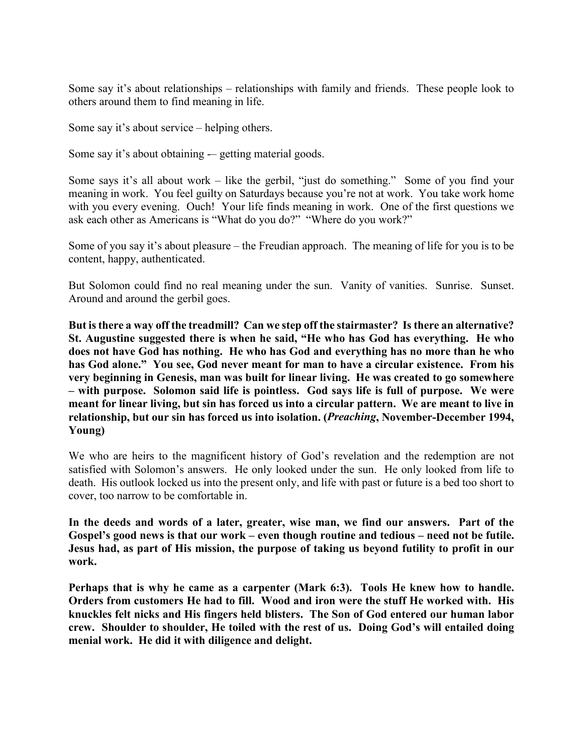Some say it's about relationships – relationships with family and friends. These people look to others around them to find meaning in life.

Some say it's about service – helping others.

Some say it's about obtaining -– getting material goods.

Some says it's all about work – like the gerbil, "just do something." Some of you find your meaning in work. You feel guilty on Saturdays because you're not at work. You take work home with you every evening. Ouch! Your life finds meaning in work. One of the first questions we ask each other as Americans is "What do you do?" "Where do you work?"

Some of you say it's about pleasure – the Freudian approach. The meaning of life for you is to be content, happy, authenticated.

But Solomon could find no real meaning under the sun. Vanity of vanities. Sunrise. Sunset. Around and around the gerbil goes.

**But is there a way off the treadmill? Can we step off the stairmaster? Is there an alternative? St. Augustine suggested there is when he said, "He who has God has everything. He who does not have God has nothing. He who has God and everything has no more than he who has God alone." You see, God never meant for man to have a circular existence. From his very beginning in Genesis, man was built for linear living. He was created to go somewhere – with purpose. Solomon said life is pointless. God says life is full of purpose. We were meant for linear living, but sin has forced us into a circular pattern. We are meant to live in relationship, but our sin has forced us into isolation. (***Preaching***, November-December 1994, Young)**

We who are heirs to the magnificent history of God's revelation and the redemption are not satisfied with Solomon's answers. He only looked under the sun. He only looked from life to death. His outlook locked us into the present only, and life with past or future is a bed too short to cover, too narrow to be comfortable in.

**In the deeds and words of a later, greater, wise man, we find our answers. Part of the Gospel's good news is that our work – even though routine and tedious – need not be futile. Jesus had, as part of His mission, the purpose of taking us beyond futility to profit in our work.**

**Perhaps that is why he came as a carpenter (Mark 6:3). Tools He knew how to handle. Orders from customers He had to fill. Wood and iron were the stuff He worked with. His knuckles felt nicks and His fingers held blisters. The Son of God entered our human labor crew. Shoulder to shoulder, He toiled with the rest of us. Doing God's will entailed doing menial work. He did it with diligence and delight.**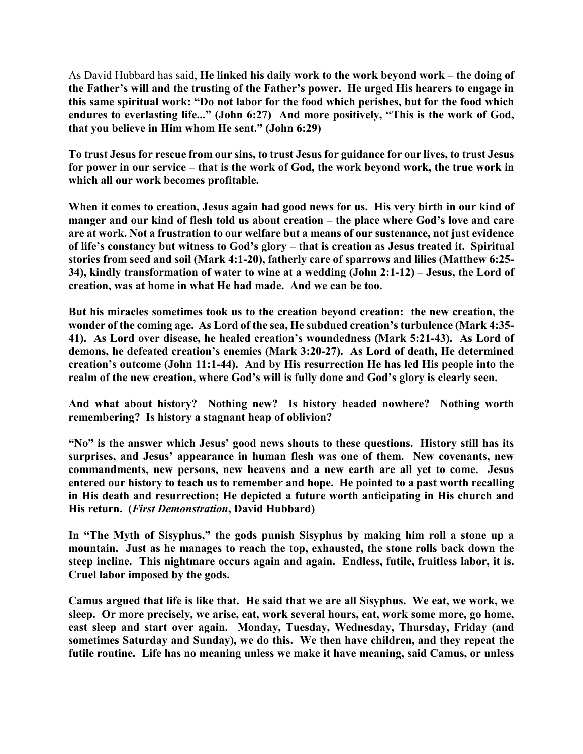As David Hubbard has said, **He linked his daily work to the work beyond work – the doing of the Father's will and the trusting of the Father's power. He urged His hearers to engage in this same spiritual work: "Do not labor for the food which perishes, but for the food which endures to everlasting life..." (John 6:27) And more positively, "This is the work of God, that you believe in Him whom He sent." (John 6:29)**

**To trust Jesus for rescue from our sins, to trust Jesus for guidance for our lives, to trust Jesus for power in our service – that is the work of God, the work beyond work, the true work in which all our work becomes profitable.**

**When it comes to creation, Jesus again had good news for us. His very birth in our kind of manger and our kind of flesh told us about creation – the place where God's love and care are at work. Not a frustration to our welfare but a means of our sustenance, not just evidence of life's constancy but witness to God's glory – that is creation as Jesus treated it. Spiritual stories from seed and soil (Mark 4:1-20), fatherly care of sparrows and lilies (Matthew 6:25- 34), kindly transformation of water to wine at a wedding (John 2:1-12) – Jesus, the Lord of creation, was at home in what He had made. And we can be too.**

**But his miracles sometimes took us to the creation beyond creation: the new creation, the wonder of the coming age. As Lord of the sea, He subdued creation's turbulence (Mark 4:35- 41). As Lord over disease, he healed creation's woundedness (Mark 5:21-43). As Lord of demons, he defeated creation's enemies (Mark 3:20-27). As Lord of death, He determined creation's outcome (John 11:1-44). And by His resurrection He has led His people into the realm of the new creation, where God's will is fully done and God's glory is clearly seen.**

**And what about history? Nothing new? Is history headed nowhere? Nothing worth remembering? Is history a stagnant heap of oblivion?**

**"No" is the answer which Jesus' good news shouts to these questions. History still has its surprises, and Jesus' appearance in human flesh was one of them. New covenants, new commandments, new persons, new heavens and a new earth are all yet to come. Jesus entered our history to teach us to remember and hope. He pointed to a past worth recalling in His death and resurrection; He depicted a future worth anticipating in His church and His return. (***First Demonstration***, David Hubbard)**

**In "The Myth of Sisyphus," the gods punish Sisyphus by making him roll a stone up a mountain. Just as he manages to reach the top, exhausted, the stone rolls back down the steep incline. This nightmare occurs again and again. Endless, futile, fruitless labor, it is. Cruel labor imposed by the gods.**

**Camus argued that life is like that. He said that we are all Sisyphus. We eat, we work, we sleep. Or more precisely, we arise, eat, work several hours, eat, work some more, go home, east sleep and start over again. Monday, Tuesday, Wednesday, Thursday, Friday (and sometimes Saturday and Sunday), we do this. We then have children, and they repeat the futile routine. Life has no meaning unless we make it have meaning, said Camus, or unless**